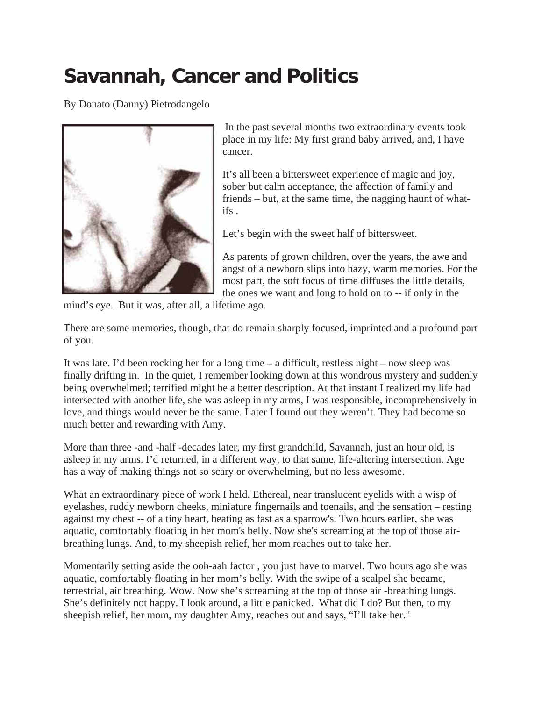## **Savannah, Cancer and Politics**

By Donato (Danny) Pietrodangelo



 In the past several months two extraordinary events took place in my life: My first grand baby arrived, and, I have cancer.

It's all been a bittersweet experience of magic and joy, sober but calm acceptance, the affection of family and friends – but, at the same time, the nagging haunt of whatifs .

Let's begin with the sweet half of bittersweet.

As parents of grown children, over the years, the awe and angst of a newborn slips into hazy, warm memories. For the most part, the soft focus of time diffuses the little details, the ones we want and long to hold on to -- if only in the

mind's eye. But it was, after all, a lifetime ago.

There are some memories, though, that do remain sharply focused, imprinted and a profound part of you.

It was late. I'd been rocking her for a long time – a difficult, restless night – now sleep was finally drifting in. In the quiet, I remember looking down at this wondrous mystery and suddenly being overwhelmed; terrified might be a better description. At that instant I realized my life had intersected with another life, she was asleep in my arms, I was responsible, incomprehensively in love, and things would never be the same. Later I found out they weren't. They had become so much better and rewarding with Amy.

More than three -and -half -decades later, my first grandchild, Savannah, just an hour old, is asleep in my arms. I'd returned, in a different way, to that same, life-altering intersection. Age has a way of making things not so scary or overwhelming, but no less awesome.

What an extraordinary piece of work I held. Ethereal, near translucent eyelids with a wisp of eyelashes, ruddy newborn cheeks, miniature fingernails and toenails, and the sensation – resting against my chest -- of a tiny heart, beating as fast as a sparrow's. Two hours earlier, she was aquatic, comfortably floating in her mom's belly. Now she's screaming at the top of those airbreathing lungs. And, to my sheepish relief, her mom reaches out to take her.

Momentarily setting aside the ooh-aah factor , you just have to marvel. Two hours ago she was aquatic, comfortably floating in her mom's belly. With the swipe of a scalpel she became, terrestrial, air breathing. Wow. Now she's screaming at the top of those air -breathing lungs. She's definitely not happy. I look around, a little panicked. What did I do? But then, to my sheepish relief, her mom, my daughter Amy, reaches out and says, "I'll take her."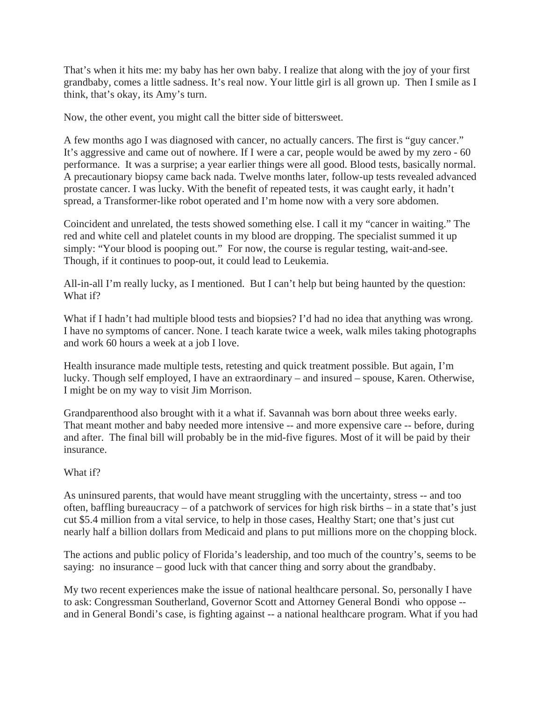That's when it hits me: my baby has her own baby. I realize that along with the joy of your first grandbaby, comes a little sadness. It's real now. Your little girl is all grown up. Then I smile as I think, that's okay, its Amy's turn.

Now, the other event, you might call the bitter side of bittersweet.

A few months ago I was diagnosed with cancer, no actually cancers. The first is "guy cancer." It's aggressive and came out of nowhere. If I were a car, people would be awed by my zero - 60 performance. It was a surprise; a year earlier things were all good. Blood tests, basically normal. A precautionary biopsy came back nada. Twelve months later, follow-up tests revealed advanced prostate cancer. I was lucky. With the benefit of repeated tests, it was caught early, it hadn't spread, a Transformer-like robot operated and I'm home now with a very sore abdomen.

Coincident and unrelated, the tests showed something else. I call it my "cancer in waiting." The red and white cell and platelet counts in my blood are dropping. The specialist summed it up simply: "Your blood is pooping out." For now, the course is regular testing, wait-and-see. Though, if it continues to poop-out, it could lead to Leukemia.

All-in-all I'm really lucky, as I mentioned. But I can't help but being haunted by the question: What if?

What if I hadn't had multiple blood tests and biopsies? I'd had no idea that anything was wrong. I have no symptoms of cancer. None. I teach karate twice a week, walk miles taking photographs and work 60 hours a week at a job I love.

Health insurance made multiple tests, retesting and quick treatment possible. But again, I'm lucky. Though self employed, I have an extraordinary – and insured – spouse, Karen. Otherwise, I might be on my way to visit Jim Morrison.

Grandparenthood also brought with it a what if. Savannah was born about three weeks early. That meant mother and baby needed more intensive -- and more expensive care -- before, during and after. The final bill will probably be in the mid-five figures. Most of it will be paid by their insurance.

## What if?

As uninsured parents, that would have meant struggling with the uncertainty, stress -- and too often, baffling bureaucracy – of a patchwork of services for high risk births – in a state that's just cut \$5.4 million from a vital service, to help in those cases, Healthy Start; one that's just cut nearly half a billion dollars from Medicaid and plans to put millions more on the chopping block.

The actions and public policy of Florida's leadership, and too much of the country's, seems to be saying: no insurance – good luck with that cancer thing and sorry about the grandbaby.

My two recent experiences make the issue of national healthcare personal. So, personally I have to ask: Congressman Southerland, Governor Scott and Attorney General Bondi who oppose - and in General Bondi's case, is fighting against -- a national healthcare program. What if you had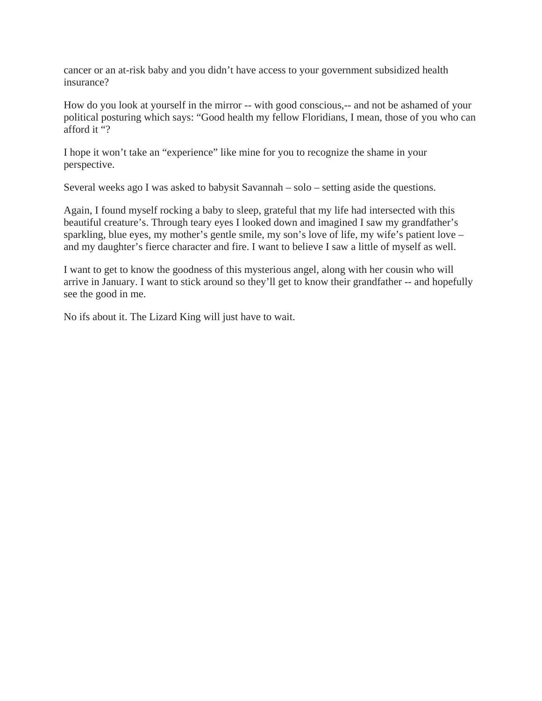cancer or an at-risk baby and you didn't have access to your government subsidized health insurance?

How do you look at yourself in the mirror -- with good conscious,-- and not be ashamed of your political posturing which says: "Good health my fellow Floridians, I mean, those of you who can afford it "?

I hope it won't take an "experience" like mine for you to recognize the shame in your perspective.

Several weeks ago I was asked to babysit Savannah – solo – setting aside the questions.

Again, I found myself rocking a baby to sleep, grateful that my life had intersected with this beautiful creature's. Through teary eyes I looked down and imagined I saw my grandfather's sparkling, blue eyes, my mother's gentle smile, my son's love of life, my wife's patient love – and my daughter's fierce character and fire. I want to believe I saw a little of myself as well.

I want to get to know the goodness of this mysterious angel, along with her cousin who will arrive in January. I want to stick around so they'll get to know their grandfather -- and hopefully see the good in me.

No ifs about it. The Lizard King will just have to wait.